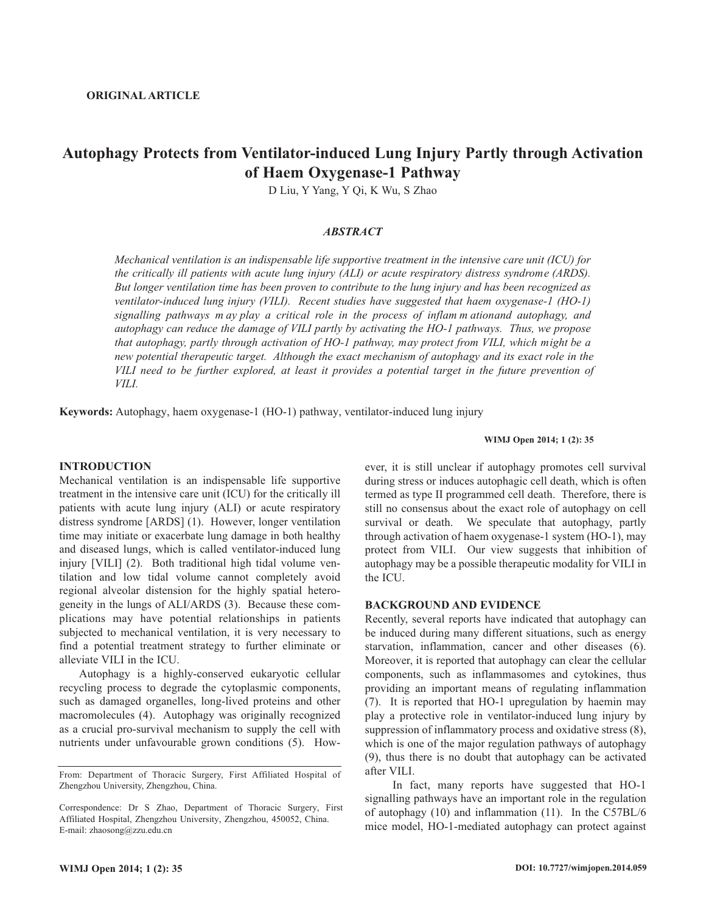# **Autophagy Protects from Ventilator-induced Lung Injury Partly through Activation of Haem Oxygenase-1 Pathway**

D Liu, Y Yang, Y Qi, K Wu, S Zhao

## *ABSTRACT*

*Mechanical ventilation is an indispensable life supportive treatment in the intensive care unit (ICU) for the critically ill patients with acute lung injury (ALI) or acute respiratory distress syndrome (ARDS).* But longer ventilation time has been proven to contribute to the lung injury and has been recognized as *ventilator-induced lung injury (VILI). Recent studies have suggested that haem oxygenase-1 (HO-1) signalling pathways may play a critical role in the process of inflammationand autophagy, and autophagy can reduce the damage of VILI partly by activating the HO-1 pathways. Thus, we propose that autophagy, partly through activation of HO-1 pathway, may protect from VILI, which might be a new potential therapeutic target. Although the exact mechanism of autophagy and its exact role in the* VILI need to be further explored, at least it provides a potential target in the future prevention of *VILI.*

**Keywords:** Autophagy, haem oxygenase-1 (HO-1) pathway, ventilator-induced lung injury

## **INTRODUCTION**

Mechanical ventilation is an indispensable life supportive treatment in the intensive care unit (ICU) for the critically ill patients with acute lung injury (ALI) or acute respiratory distress syndrome [ARDS] (1). However, longer ventilation time may initiate or exacerbate lung damage in both healthy and diseased lungs, which is called ventilator-induced lung injury [VILI] (2). Both traditional high tidal volume ventilation and low tidal volume cannot completely avoid regional alveolar distension for the highly spatial heterogeneity in the lungs of ALI/ARDS (3). Because these complications may have potential relationships in patients subjected to mechanical ventilation, it is very necessary to find a potential treatment strategy to further eliminate or alleviate VILI in the ICU.

Autophagy is a highly-conserved eukaryotic cellular recycling process to degrade the cytoplasmic components, such as damaged organelles, long-lived proteins and other macromolecules (4). Autophagy was originally recognized as a crucial pro-survival mechanism to supply the cell with nutrients under unfavourable grown conditions (5). How-

#### **WIMJ Open 2014; 1 (2): 35**

ever, it is still unclear if autophagy promotes cell survival during stress or induces autophagic cell death, which is often termed as type II programmed cell death. Therefore, there is still no consensus about the exact role of autophagy on cell survival or death. We speculate that autophagy, partly through activation of haem oxygenase-1 system (HO-1), may protect from VILI. Our view suggests that inhibition of autophagy may be a possible therapeutic modality for VILI in the ICU.

### **BACKGROUND AND EVIDENCE**

Recently, several reports have indicated that autophagy can be induced during many different situations, such as energy starvation, inflammation, cancer and other diseases (6). Moreover, it is reported that autophagy can clear the cellular components, such as inflammasomes and cytokines, thus providing an important means of regulating inflammation (7). It is reported that HO-1 upregulation by haemin may play a protective role in ventilator-induced lung injury by suppression of inflammatory process and oxidative stress (8), which is one of the major regulation pathways of autophagy (9), thus there is no doubt that autophagy can be activated after VILI.

In fact, many reports have suggested that HO-1 signalling pathways have an important role in the regulation of autophagy (10) and inflammation (11). In the C57BL/6 mice model, HO-1-mediated autophagy can protect against

From: Department of Thoracic Surgery, First Affiliated Hospital of Zhengzhou University, Zhengzhou, China.

Correspondence: Dr S Zhao, Department of Thoracic Surgery, First Affiliated Hospital, Zhengzhou University, Zhengzhou, 450052, China. E-mail: zhaosong@zzu.edu.cn